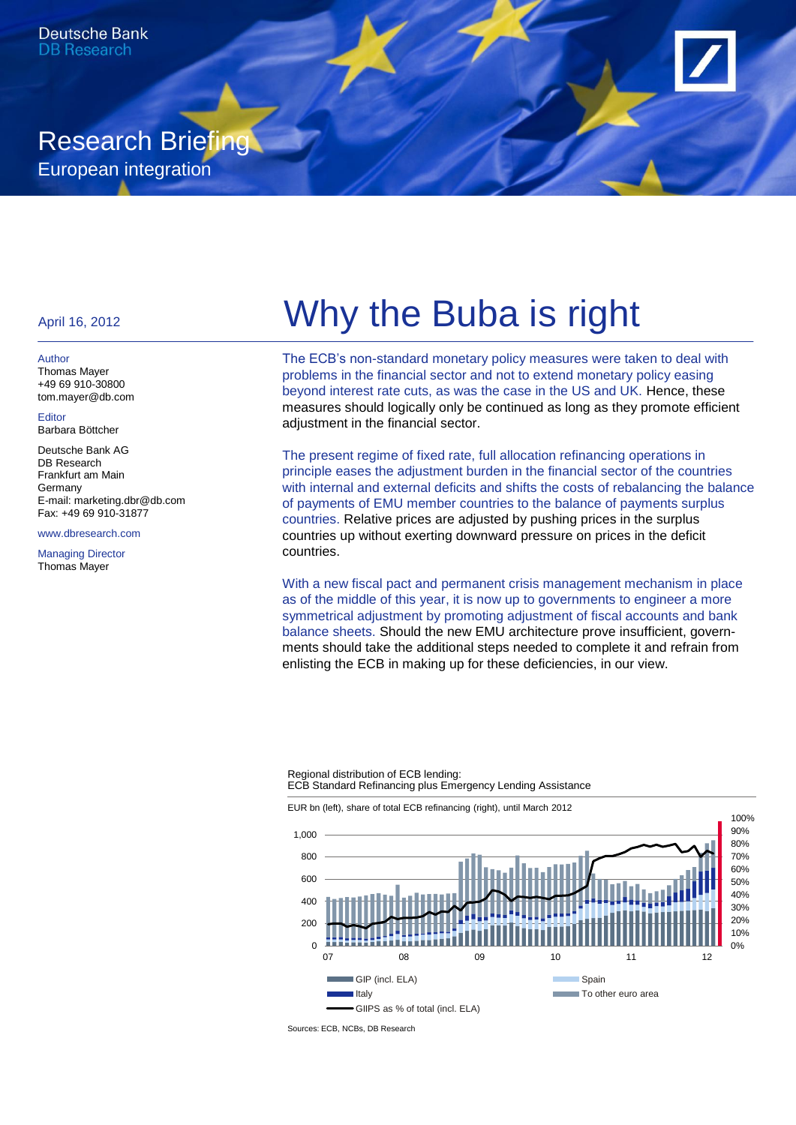# Research Briefing European integration

Author Thomas Mayer +49 69 910-30800 tom.mayer@db.com

Editor Barbara Böttcher

Deutsche Bank AG DB Research Frankfurt am Main **Germany** E-mail: marketing.dbr@db.com Fax: +49 69 910-31877

www.dbresearch.com

Managing Director Thomas Mayer

# April 16, 2012 **Why the Buba is right**

The ECB's non-standard monetary policy measures were taken to deal with problems in the financial sector and not to extend monetary policy easing beyond interest rate cuts, as was the case in the US and UK. Hence, these measures should logically only be continued as long as they promote efficient adjustment in the financial sector.

The present regime of fixed rate, full allocation refinancing operations in principle eases the adjustment burden in the financial sector of the countries with internal and external deficits and shifts the costs of rebalancing the balance of payments of EMU member countries to the balance of payments surplus countries. Relative prices are adjusted by pushing prices in the surplus countries up without exerting downward pressure on prices in the deficit countries.

With a new fiscal pact and permanent crisis management mechanism in place as of the middle of this year, it is now up to governments to engineer a more symmetrical adjustment by promoting adjustment of fiscal accounts and bank balance sheets. Should the new EMU architecture prove insufficient, governments should take the additional steps needed to complete it and refrain from enlisting the ECB in making up for these deficiencies, in our view.

#### Regional distribution of ECB lending: ECB Standard Refinancing plus Emergency Lending Assistance

EUR bn (left), share of total ECB refinancing (right), until March 2012



Sources: ECB, NCBs, DB Research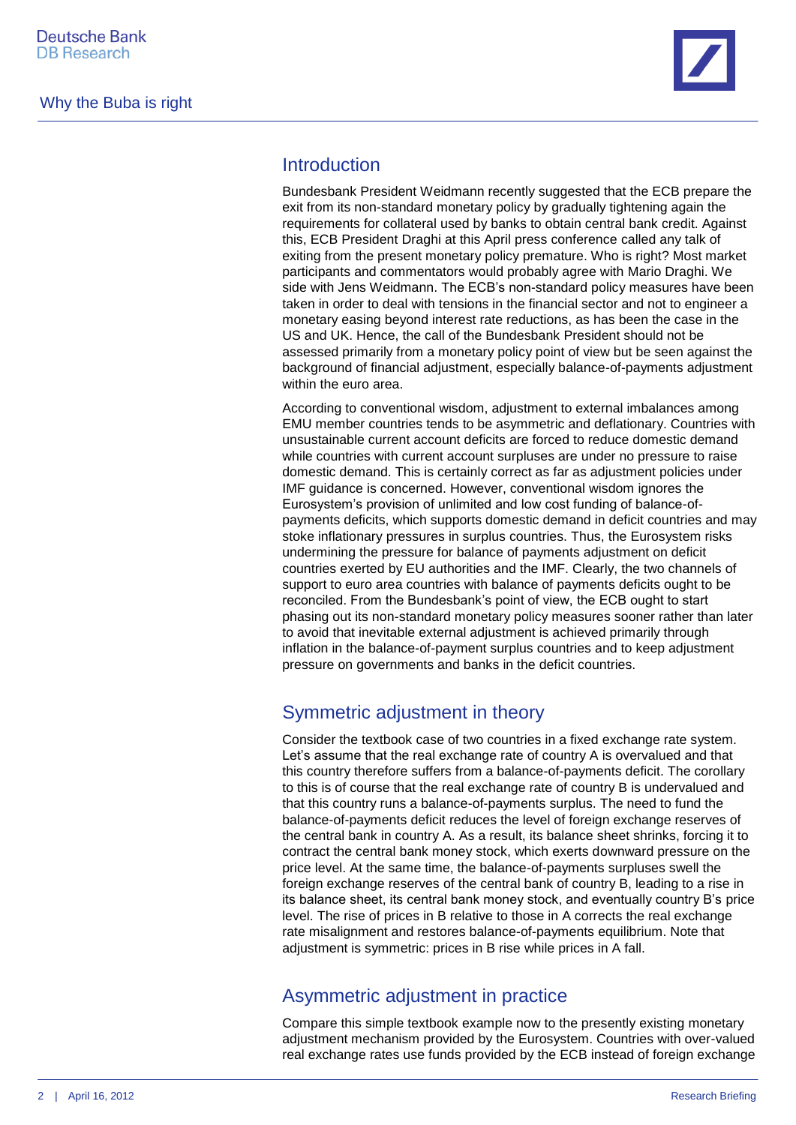

## **Introduction**

Bundesbank President Weidmann recently suggested that the ECB prepare the exit from its non-standard monetary policy by gradually tightening again the requirements for collateral used by banks to obtain central bank credit. Against this, ECB President Draghi at this April press conference called any talk of exiting from the present monetary policy premature. Who is right? Most market participants and commentators would probably agree with Mario Draghi. We side with Jens Weidmann. The ECB's non-standard policy measures have been taken in order to deal with tensions in the financial sector and not to engineer a monetary easing beyond interest rate reductions, as has been the case in the US and UK. Hence, the call of the Bundesbank President should not be assessed primarily from a monetary policy point of view but be seen against the background of financial adjustment, especially balance-of-payments adjustment within the euro area.

According to conventional wisdom, adjustment to external imbalances among EMU member countries tends to be asymmetric and deflationary. Countries with unsustainable current account deficits are forced to reduce domestic demand while countries with current account surpluses are under no pressure to raise domestic demand. This is certainly correct as far as adjustment policies under IMF guidance is concerned. However, conventional wisdom ignores the Eurosystem's provision of unlimited and low cost funding of balance-ofpayments deficits, which supports domestic demand in deficit countries and may stoke inflationary pressures in surplus countries. Thus, the Eurosystem risks undermining the pressure for balance of payments adjustment on deficit countries exerted by EU authorities and the IMF. Clearly, the two channels of support to euro area countries with balance of payments deficits ought to be reconciled. From the Bundesbank's point of view, the ECB ought to start phasing out its non-standard monetary policy measures sooner rather than later to avoid that inevitable external adjustment is achieved primarily through inflation in the balance-of-payment surplus countries and to keep adjustment pressure on governments and banks in the deficit countries.

# Symmetric adjustment in theory

Consider the textbook case of two countries in a fixed exchange rate system. Let's assume that the real exchange rate of country A is overvalued and that this country therefore suffers from a balance-of-payments deficit. The corollary to this is of course that the real exchange rate of country B is undervalued and that this country runs a balance-of-payments surplus. The need to fund the balance-of-payments deficit reduces the level of foreign exchange reserves of the central bank in country A. As a result, its balance sheet shrinks, forcing it to contract the central bank money stock, which exerts downward pressure on the price level. At the same time, the balance-of-payments surpluses swell the foreign exchange reserves of the central bank of country B, leading to a rise in its balance sheet, its central bank money stock, and eventually country B's price level. The rise of prices in B relative to those in A corrects the real exchange rate misalignment and restores balance-of-payments equilibrium. Note that adjustment is symmetric: prices in B rise while prices in A fall.

# Asymmetric adjustment in practice

Compare this simple textbook example now to the presently existing monetary adjustment mechanism provided by the Eurosystem. Countries with over-valued real exchange rates use funds provided by the ECB instead of foreign exchange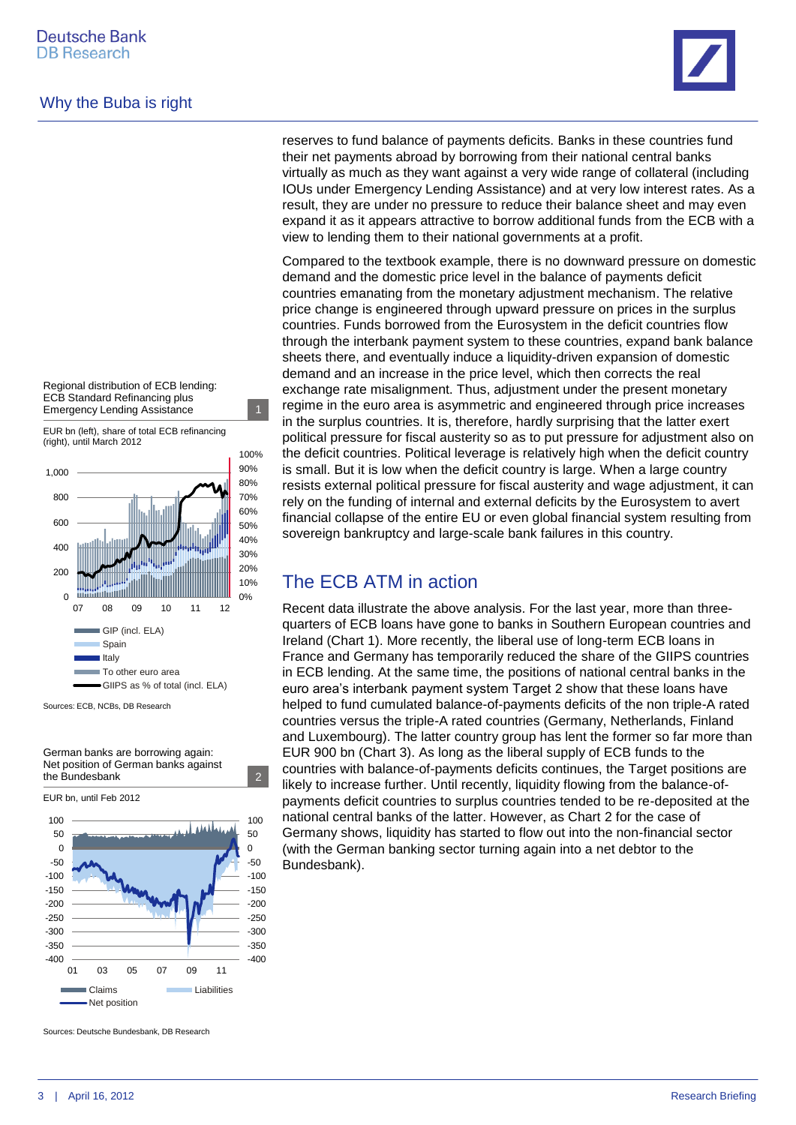### Why the Buba is right

Regional distribution of ECB lending: ECB Standard Refinancing plus Emergency Lending Assistance 1

EUR bn (left), share of total ECB refinancing (right), until March 2012



Sources: ECB, NCBs, DB Research

German banks are borrowing again: Net position of German banks against the Bundesbank 2

EUR bn, until Feb 2012 100 100 المازو آن 50 50 0 0 -50 -50  $-100$  $-100$ -150  $-150$  $-200$ -200 -250  $-250$ -300  $-300$ -350 -350 -400 -400 01 03 05 07 09 11 Claims **Liabilities** 

Sources: Deutsche Bundesbank, DB Research

Net position

reserves to fund balance of payments deficits. Banks in these countries fund their net payments abroad by borrowing from their national central banks virtually as much as they want against a very wide range of collateral (including IOUs under Emergency Lending Assistance) and at very low interest rates. As a result, they are under no pressure to reduce their balance sheet and may even expand it as it appears attractive to borrow additional funds from the ECB with a view to lending them to their national governments at a profit.

Compared to the textbook example, there is no downward pressure on domestic demand and the domestic price level in the balance of payments deficit countries emanating from the monetary adjustment mechanism. The relative price change is engineered through upward pressure on prices in the surplus countries. Funds borrowed from the Eurosystem in the deficit countries flow through the interbank payment system to these countries, expand bank balance sheets there, and eventually induce a liquidity-driven expansion of domestic demand and an increase in the price level, which then corrects the real exchange rate misalignment. Thus, adjustment under the present monetary regime in the euro area is asymmetric and engineered through price increases in the surplus countries. It is, therefore, hardly surprising that the latter exert political pressure for fiscal austerity so as to put pressure for adjustment also on the deficit countries. Political leverage is relatively high when the deficit country is small. But it is low when the deficit country is large. When a large country resists external political pressure for fiscal austerity and wage adjustment, it can rely on the funding of internal and external deficits by the Eurosystem to avert financial collapse of the entire EU or even global financial system resulting from sovereign bankruptcy and large-scale bank failures in this country.

# The ECB ATM in action

Recent data illustrate the above analysis. For the last year, more than threequarters of ECB loans have gone to banks in Southern European countries and Ireland (Chart 1). More recently, the liberal use of long-term ECB loans in France and Germany has temporarily reduced the share of the GIIPS countries in ECB lending. At the same time, the positions of national central banks in the euro area's interbank payment system Target 2 show that these loans have helped to fund cumulated balance-of-payments deficits of the non triple-A rated countries versus the triple-A rated countries (Germany, Netherlands, Finland and Luxembourg). The latter country group has lent the former so far more than EUR 900 bn (Chart 3). As long as the liberal supply of ECB funds to the countries with balance-of-payments deficits continues, the Target positions are likely to increase further. Until recently, liquidity flowing from the balance-ofpayments deficit countries to surplus countries tended to be re-deposited at the national central banks of the latter. However, as Chart 2 for the case of Germany shows, liquidity has started to flow out into the non-financial sector (with the German banking sector turning again into a net debtor to the Bundesbank).

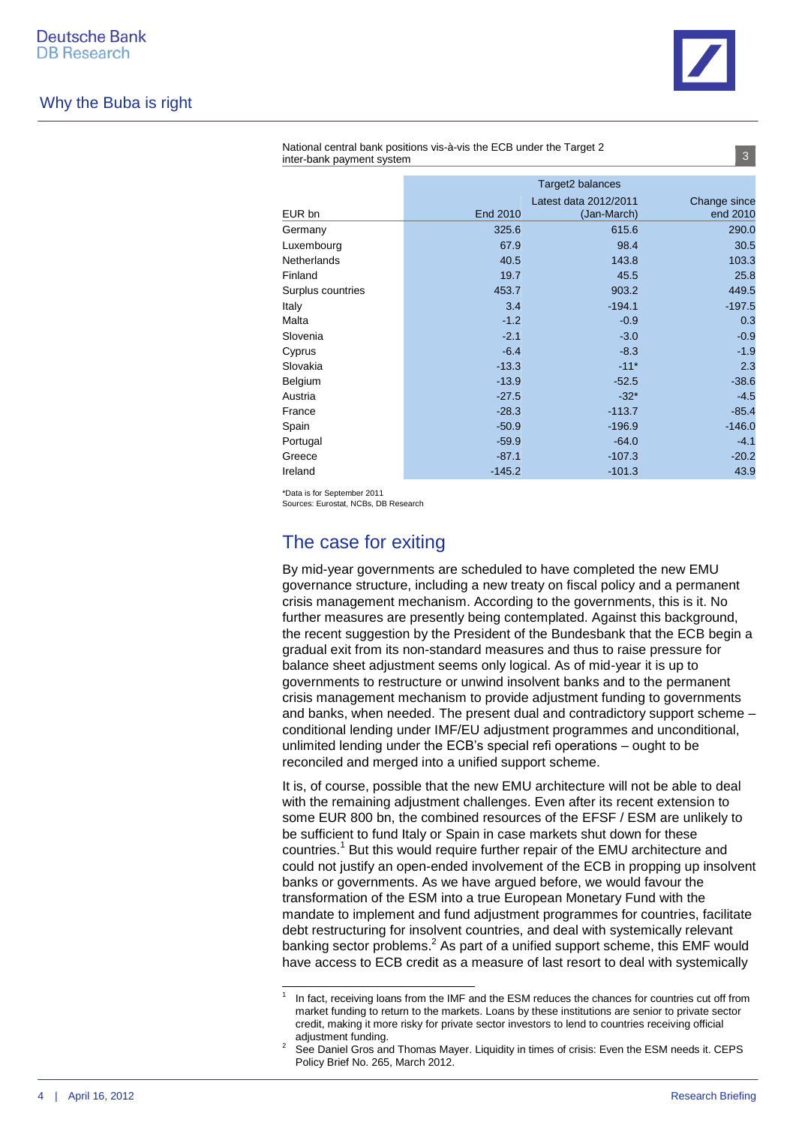

#### Why the Buba is right

|                    | Target2 balances |                       |              |
|--------------------|------------------|-----------------------|--------------|
|                    |                  | Latest data 2012/2011 | Change since |
| EUR bn             | End 2010         | (Jan-March)           | end 2010     |
| Germany            | 325.6            | 615.6                 | 290.0        |
| Luxembourg         | 67.9             | 98.4                  | 30.5         |
| <b>Netherlands</b> | 40.5             | 143.8                 | 103.3        |
| Finland            | 19.7             | 45.5                  | 25.8         |
| Surplus countries  | 453.7            | 903.2                 | 449.5        |
| Italy              | 3.4              | $-194.1$              | $-197.5$     |
| Malta              | $-1.2$           | $-0.9$                | 0.3          |
| Slovenia           | $-2.1$           | $-3.0$                | $-0.9$       |
| Cyprus             | $-6.4$           | $-8.3$                | $-1.9$       |
| Slovakia           | $-13.3$          | $-11*$                | 2.3          |
| Belgium            | $-13.9$          | $-52.5$               | $-38.6$      |
| Austria            | $-27.5$          | $-32*$                | $-4.5$       |
| France             | $-28.3$          | $-113.7$              | $-85.4$      |
| Spain              | $-50.9$          | $-196.9$              | $-146.0$     |
| Portugal           | $-59.9$          | $-64.0$               | $-4.1$       |
| Greece             | $-87.1$          | $-107.3$              | $-20.2$      |
| Ireland            | $-145.2$         | $-101.3$              | 43.9         |

National central bank positions vis-à-vis the ECB under the Target 2 inter-bank payment system

\*Data is for September 2011

 $\overline{a}$ 

Sources: Eurostat, NCBs, DB Research

# The case for exiting

By mid-year governments are scheduled to have completed the new EMU governance structure, including a new treaty on fiscal policy and a permanent crisis management mechanism. According to the governments, this is it. No further measures are presently being contemplated. Against this background, the recent suggestion by the President of the Bundesbank that the ECB begin a gradual exit from its non-standard measures and thus to raise pressure for balance sheet adjustment seems only logical. As of mid-year it is up to governments to restructure or unwind insolvent banks and to the permanent crisis management mechanism to provide adjustment funding to governments and banks, when needed. The present dual and contradictory support scheme – conditional lending under IMF/EU adjustment programmes and unconditional, unlimited lending under the ECB's special refi operations – ought to be reconciled and merged into a unified support scheme.

It is, of course, possible that the new EMU architecture will not be able to deal with the remaining adjustment challenges. Even after its recent extension to some EUR 800 bn, the combined resources of the EFSF / ESM are unlikely to be sufficient to fund Italy or Spain in case markets shut down for these countries.<sup>1</sup> But this would require further repair of the EMU architecture and could not justify an open-ended involvement of the ECB in propping up insolvent banks or governments. As we have argued before, we would favour the transformation of the ESM into a true European Monetary Fund with the mandate to implement and fund adjustment programmes for countries, facilitate debt restructuring for insolvent countries, and deal with systemically relevant banking sector problems.<sup>2</sup> As part of a unified support scheme, this EMF would have access to ECB credit as a measure of last resort to deal with systemically

<sup>1</sup> In fact, receiving loans from the IMF and the ESM reduces the chances for countries cut off from market funding to return to the markets. Loans by these institutions are senior to private sector credit, making it more risky for private sector investors to lend to countries receiving official adjustment funding.

<sup>&</sup>lt;sup>2</sup> See Daniel Gros and Thomas Mayer. Liquidity in times of crisis: Even the ESM needs it. CEPS Policy Brief No. 265, March 2012.